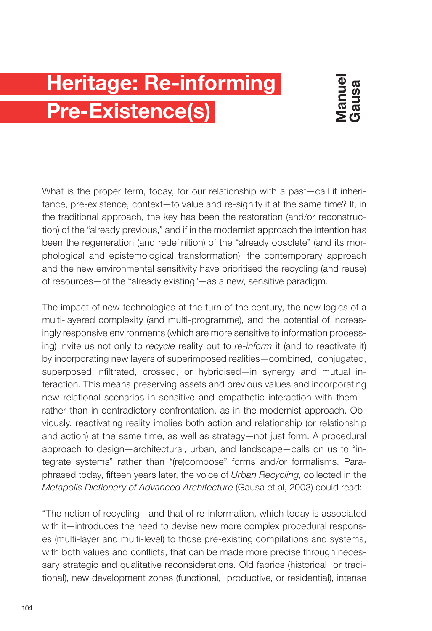## **Heritage: Re-informing Pre-Existence(s)**

What is the proper term, today, for our relationship with a past—call it inheritance, pre-existence, context—to value and re-signify it at the same time? If, in the traditional approach, the key has been the restoration (and/or reconstruction) of the "already previous," and if in the modernist approach the intention has been the regeneration (and redefinition) of the "already obsolete" (and its morphological and epistemological transformation), the contemporary approach and the new environmental sensitivity have prioritised the recycling (and reuse) of resources—of the "already existing"—as a new, sensitive paradigm.

The impact of new technologies at the turn of the century, the new logics of a multi-layered complexity (and multi-programme), and the potential of increasingly responsive environments (which are more sensitive to information processing) invite us not only to *recycle* reality but to *re-inform* it (and to reactivate it) by incorporating new layers of superimposed realities—combined, conjugated, superposed, infiltrated, crossed, or hybridised—in synergy and mutual interaction. This means preserving assets and previous values and incorporating new relational scenarios in sensitive and empathetic interaction with them rather than in contradictory confrontation, as in the modernist approach. Obviously, reactivating reality implies both action and relationship (or relationship and action) at the same time, as well as strategy—not just form. A procedural approach to design—architectural, urban, and landscape—calls on us to "integrate systems" rather than "(re)compose" forms and/or formalisms. Paraphrased today, fifteen years later, the voice of *Urban Recycling*, collected in the *Metapolis Dictionary of Advanced Architecture* (Gausa et al, 2003) could read:

"The notion of recycling—and that of re-information, which today is associated with it—introduces the need to devise new more complex procedural responses (multi-layer and multi-level) to those pre-existing compilations and systems, with both values and conflicts, that can be made more precise through necessary strategic and qualitative reconsiderations. Old fabrics (historical or traditional), new development zones (functional, productive, or residential), intense